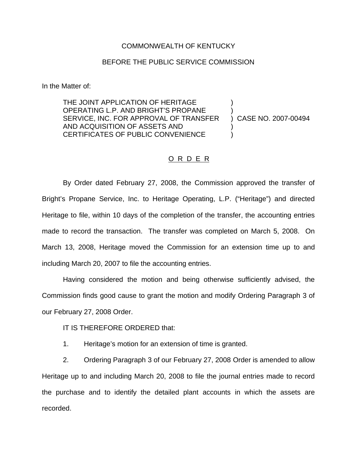## COMMONWEALTH OF KENTUCKY

## BEFORE THE PUBLIC SERVICE COMMISSION

In the Matter of:

THE JOINT APPLICATION OF HERITAGE OPERATING L.P. AND BRIGHT'S PROPANE ) SERVICE, INC. FOR APPROVAL OF TRANSFER ) CASE NO. 2007-00494 AND ACQUISITION OF ASSETS AND ) CERTIFICATES OF PUBLIC CONVENIENCE

## O R D E R

By Order dated February 27, 2008, the Commission approved the transfer of Bright's Propane Service, Inc. to Heritage Operating, L.P. ("Heritage") and directed Heritage to file, within 10 days of the completion of the transfer, the accounting entries made to record the transaction. The transfer was completed on March 5, 2008. On March 13, 2008, Heritage moved the Commission for an extension time up to and including March 20, 2007 to file the accounting entries.

Having considered the motion and being otherwise sufficiently advised, the Commission finds good cause to grant the motion and modify Ordering Paragraph 3 of our February 27, 2008 Order.

IT IS THEREFORE ORDERED that:

1. Heritage's motion for an extension of time is granted.

2. Ordering Paragraph 3 of our February 27, 2008 Order is amended to allow Heritage up to and including March 20, 2008 to file the journal entries made to record the purchase and to identify the detailed plant accounts in which the assets are recorded.